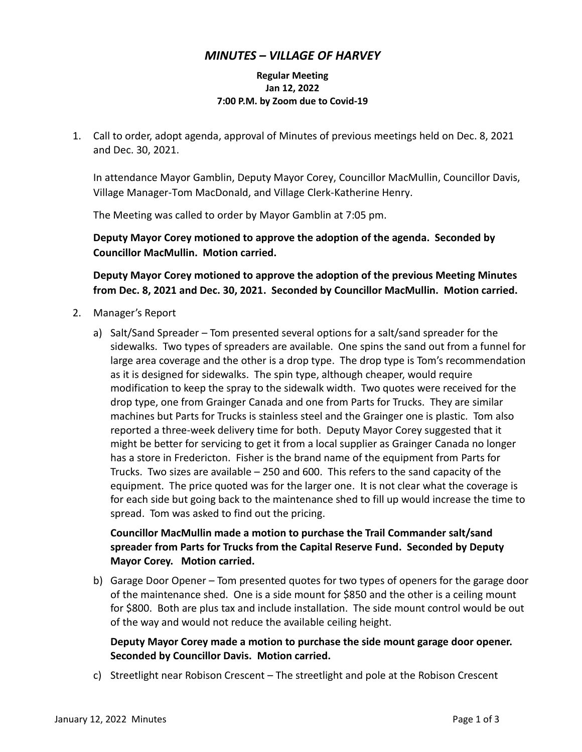### *MINUTES – VILLAGE OF HARVEY*

#### **Regular Meeting Jan 12, 2022 7:00 P.M. by Zoom due to Covid-19**

1. Call to order, adopt agenda, approval of Minutes of previous meetings held on Dec. 8, 2021 and Dec. 30, 2021.

In attendance Mayor Gamblin, Deputy Mayor Corey, Councillor MacMullin, Councillor Davis, Village Manager-Tom MacDonald, and Village Clerk-Katherine Henry.

The Meeting was called to order by Mayor Gamblin at 7:05 pm.

**Deputy Mayor Corey motioned to approve the adoption of the agenda. Seconded by Councillor MacMullin. Motion carried.**

**Deputy Mayor Corey motioned to approve the adoption of the previous Meeting Minutes from Dec. 8, 2021 and Dec. 30, 2021. Seconded by Councillor MacMullin. Motion carried.**

- 2. Manager's Report
	- a) Salt/Sand Spreader Tom presented several options for a salt/sand spreader for the sidewalks. Two types of spreaders are available. One spins the sand out from a funnel for large area coverage and the other is a drop type. The drop type is Tom's recommendation as it is designed for sidewalks. The spin type, although cheaper, would require modification to keep the spray to the sidewalk width. Two quotes were received for the drop type, one from Grainger Canada and one from Parts for Trucks. They are similar machines but Parts for Trucks is stainless steel and the Grainger one is plastic. Tom also reported a three-week delivery time for both. Deputy Mayor Corey suggested that it might be better for servicing to get it from a local supplier as Grainger Canada no longer has a store in Fredericton. Fisher is the brand name of the equipment from Parts for Trucks. Two sizes are available – 250 and 600. This refers to the sand capacity of the equipment. The price quoted was for the larger one. It is not clear what the coverage is for each side but going back to the maintenance shed to fill up would increase the time to spread. Tom was asked to find out the pricing.

# **Councillor MacMullin made a motion to purchase the Trail Commander salt/sand spreader from Parts for Trucks from the Capital Reserve Fund. Seconded by Deputy Mayor Corey. Motion carried.**

b) Garage Door Opener – Tom presented quotes for two types of openers for the garage door of the maintenance shed. One is a side mount for \$850 and the other is a ceiling mount for \$800. Both are plus tax and include installation. The side mount control would be out of the way and would not reduce the available ceiling height.

#### **Deputy Mayor Corey made a motion to purchase the side mount garage door opener. Seconded by Councillor Davis. Motion carried.**

c) Streetlight near Robison Crescent – The streetlight and pole at the Robison Crescent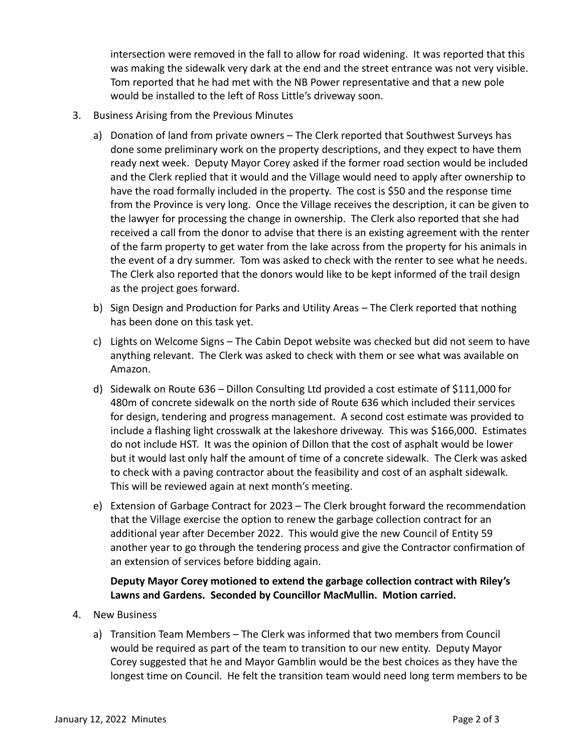intersection were removed in the fall to allow for road widening. It was reported that this was making the sidewalk very dark at the end and the street entrance was not very visible. Tom reported that he had met with the NB Power representative and that a new pole would be installed to the left of Ross Little's driveway soon.

- 3. Business Arising from the Previous Minutes
	- a) Donation of land from private owners The Clerk reported that Southwest Surveys has done some preliminary work on the property descriptions, and they expect to have them ready next week. Deputy Mayor Corey asked if the former road section would be included and the Clerk replied that it would and the Village would need to apply after ownership to have the road formally included in the property. The cost is \$50 and the response time from the Province is very long. Once the Village receives the description, it can be given to the lawyer for processing the change in ownership. The Clerk also reported that she had received a call from the donor to advise that there is an existing agreement with the renter of the farm property to get water from the lake across from the property for his animals in the event of a dry summer. Tom was asked to check with the renter to see what he needs. The Clerk also reported that the donors would like to be kept informed of the trail design as the project goes forward.
	- b) Sign Design and Production for Parks and Utility Areas The Clerk reported that nothing has been done on this task yet.
	- c) Lights on Welcome Signs The Cabin Depot website was checked but did not seem to have anything relevant. The Clerk was asked to check with them or see what was available on Amazon.
	- d) Sidewalk on Route 636 Dillon Consulting Ltd provided a cost estimate of \$111,000 for 480m of concrete sidewalk on the north side of Route 636 which included their services for design, tendering and progress management. A second cost estimate was provided to include a flashing light crosswalk at the lakeshore driveway. This was \$166,000. Estimates do not include HST. It was the opinion of Dillon that the cost of asphalt would be lower but it would last only half the amount of time of a concrete sidewalk. The Clerk was asked to check with a paving contractor about the feasibility and cost of an asphalt sidewalk. This will be reviewed again at next month's meeting.
	- e) Extension of Garbage Contract for 2023 The Clerk brought forward the recommendation that the Village exercise the option to renew the garbage collection contract for an additional year after December 2022. This would give the new Council of Entity 59 another year to go through the tendering process and give the Contractor confirmation of an extension of services before bidding again.

# **Deputy Mayor Corey motioned to extend the garbage collection contract with Riley's Lawns and Gardens. Seconded by Councillor MacMullin. Motion carried.**

- 4. New Business
	- a) Transition Team Members The Clerk was informed that two members from Council would be required as part of the team to transition to our new entity. Deputy Mayor Corey suggested that he and Mayor Gamblin would be the best choices as they have the longest time on Council. He felt the transition team would need long term members to be